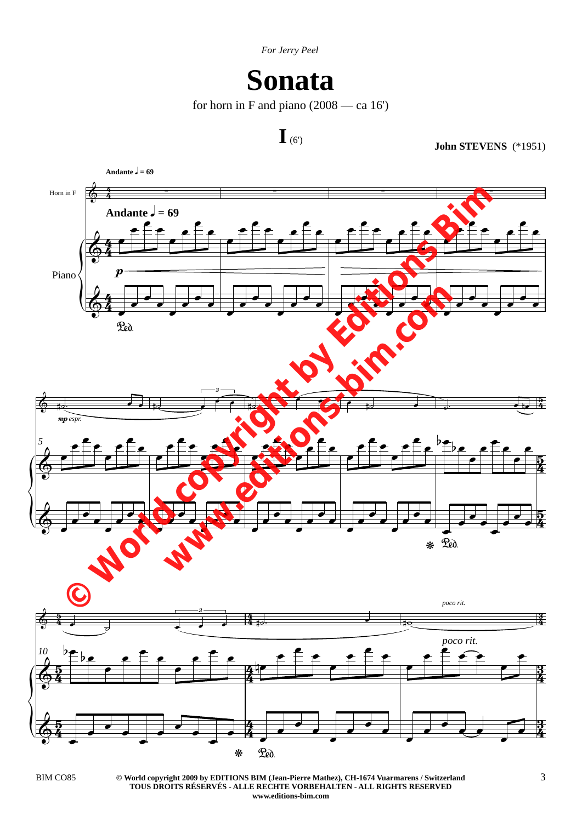*For Jerry Peel*

## **Sonata**

for horn in F and piano (2008 — ca 16')

 $\mathbf{I}$ (6') **Iohn STEVENS** (\*1951)



**© World copyright 2009 by EDITIONS BIM (Jean-Pierre Mathez), CH-1674 Vuarmarens / Switzerland** BIM CO85 3 **TOUS DROITS RÉSERVÉS - ALLE RECHTE VORBEHALTEN - ALL RIGHTS RESERVED www.editions-bim.com**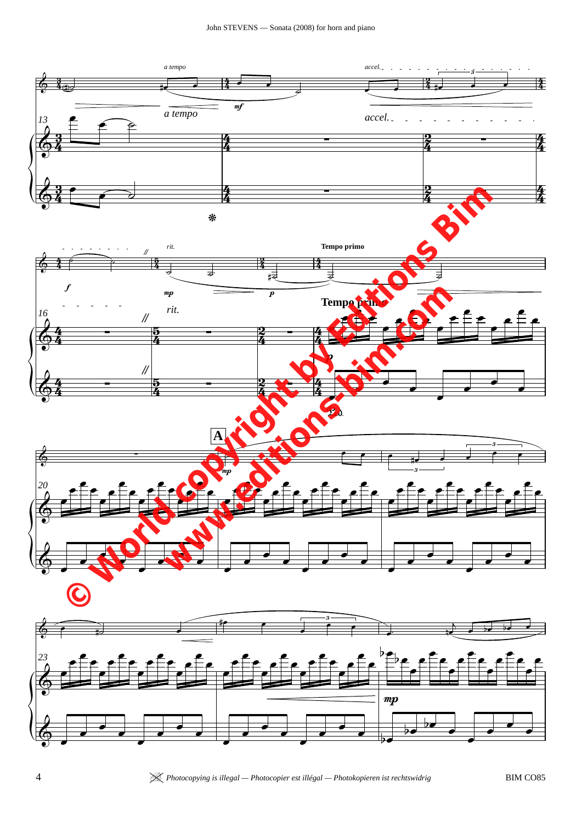

4 | *Photocopying is illegal — Photocopier est illégal — Photokopieren ist rechtswidrig*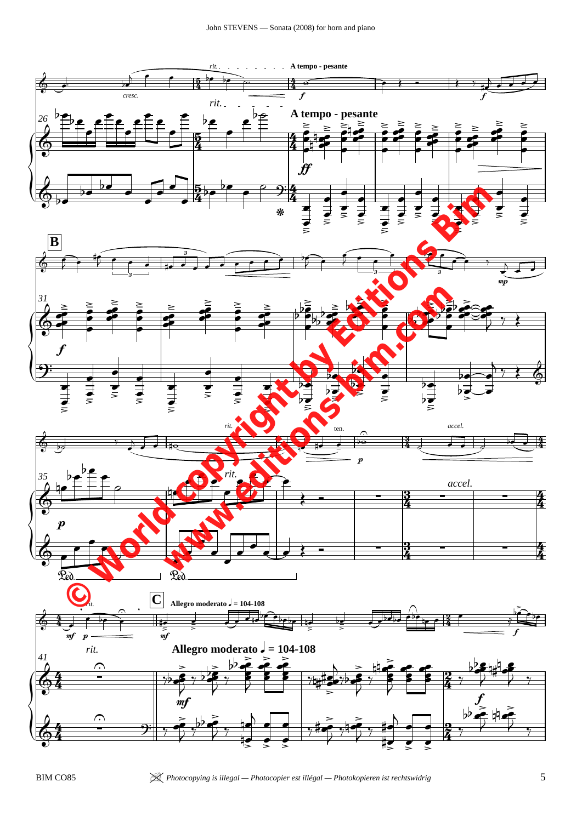

<sup>|</sup> *Photocopying is illegal — Photocopier est illégal — Photokopieren ist rechtswidrig* 5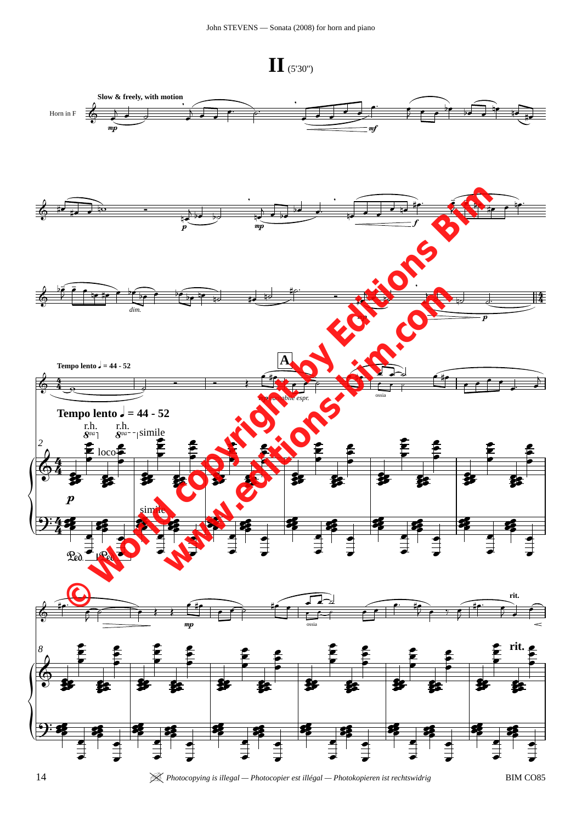



14 | *Photocopying is illegal — Photocopier est illégal — Photokopieren ist rechtswidrig*

BIM CO85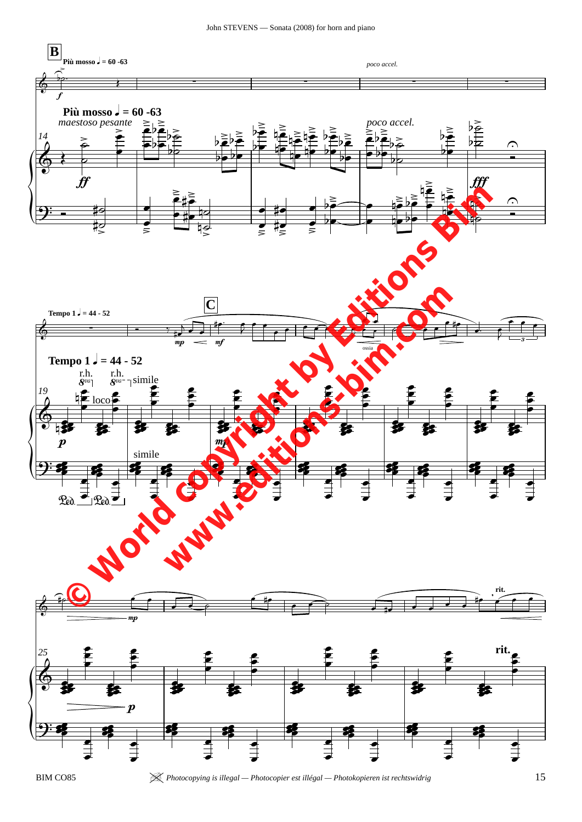

<sup>|</sup> *Photocopying is illegal — Photocopier est illégal — Photokopieren ist rechtswidrig* 15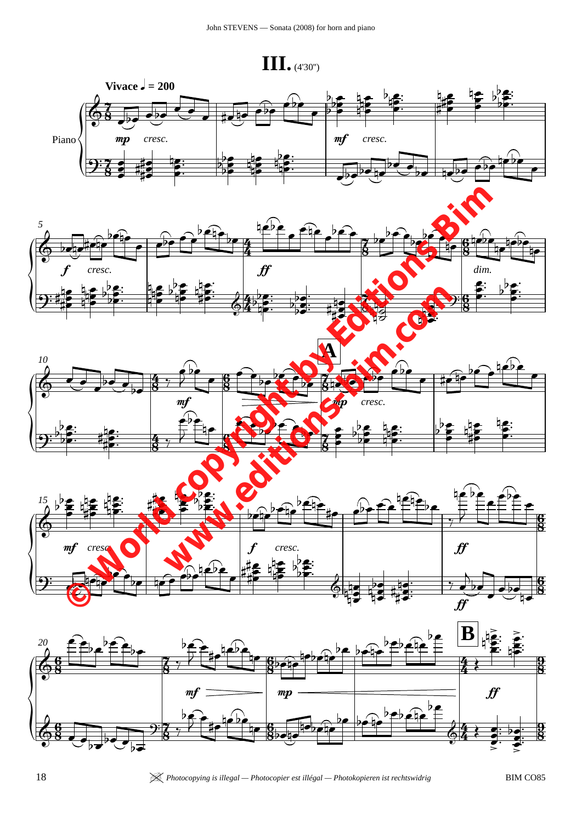











18 *M <i>Photocopying is illegal — Photocopier est illégal — Photokopieren ist rechtswidrig*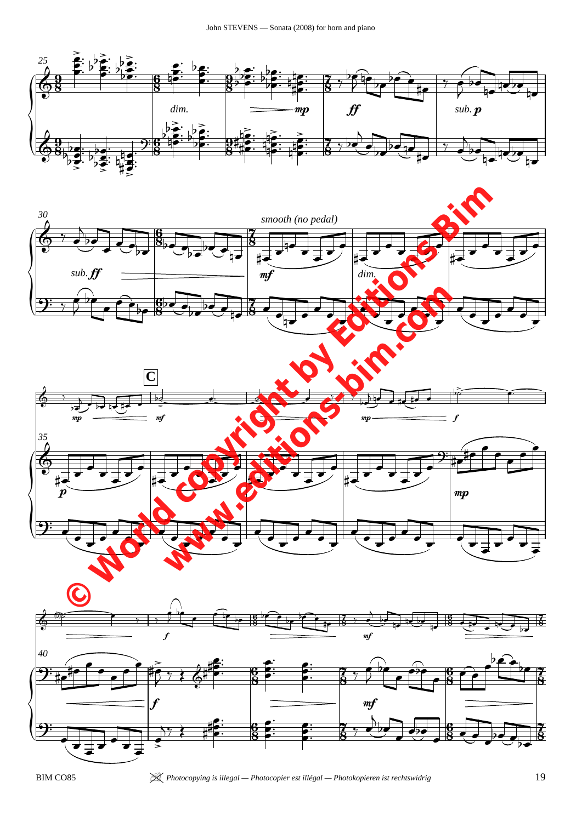









<sup>|</sup> *Photocopying is illegal — Photocopier est illégal — Photokopieren ist rechtswidrig* 19